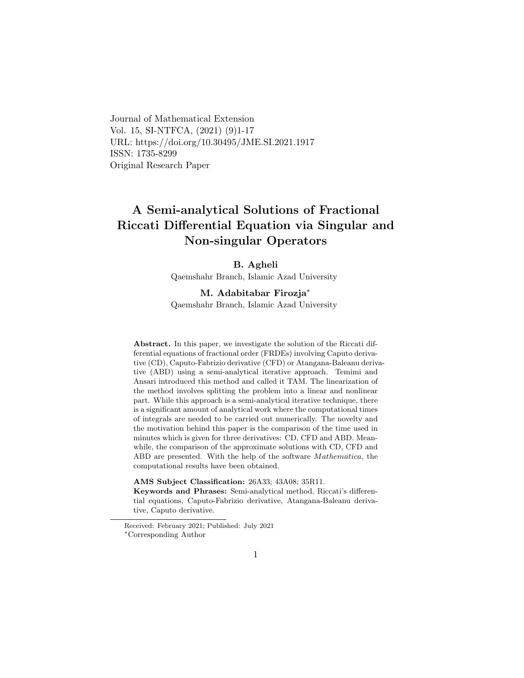Journal of Mathematical Extension Vol. 15, SI-NTFCA, (2021) (9)1-17 URL: https://doi.org/10.30495/JME.SI.2021.1917 ISSN: 1735-8299 Original Research Paper

# A Semi-analytical Solutions of Fractional Riccati Differential Equation via Singular and Non-singular Operators

### B. Agheli

Qaemshahr Branch, Islamic Azad University

### M. Adabitabar Firozja[∗](#page-0-0)

Qaemshahr Branch, Islamic Azad University

Abstract. In this paper, we investigate the solution of the Riccati differential equations of fractional order (FRDEs) involving Caputo derivative (CD), Caputo-Fabrizio derivative (CFD) or Atangana-Baleanu derivative (ABD) using a semi-analytical iterative approach. Temimi and Ansari introduced this method and called it TAM. The linearization of the method involves splitting the problem into a linear and nonlinear part. While this approach is a semi-analytical iterative technique, there is a significant amount of analytical work where the computational times of integrals are needed to be carried out numerically. The novelty and the motivation behind this paper is the comparison of the time used in minutes which is given for three derivatives: CD, CFD and ABD. Meanwhile, the comparison of the approximate solutions with CD, CFD and ABD are presented. With the help of the software Mathematica, the computational results have been obtained.

AMS Subject Classification: 26A33; 43A08; 35R11.

Keywords and Phrases: Semi-analytical method, Riccati's differential equations, Caputo-Fabrizio derivative, Atangana-Baleanu derivative, Caputo derivative.

<span id="page-0-0"></span>Received: February 2021; Published: July 2021 <sup>∗</sup>Corresponding Author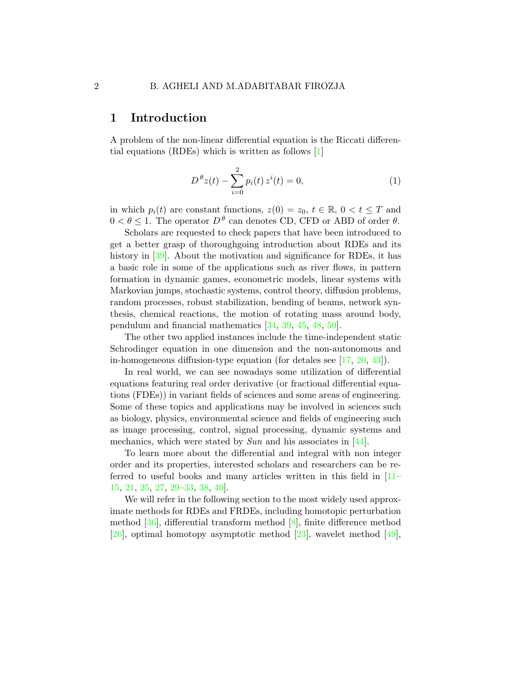### 1 Introduction

A problem of the non-linear differential equation is the Riccati differential equations (RDEs) which is written as follows [\[1\]](#page-10-0)

<span id="page-1-0"></span>
$$
D^{\theta}z(t) - \sum_{i=0}^{2} p_i(t) z^i(t) = 0,
$$
\n(1)

in which  $p_i(t)$  are constant functions,  $z(0) = z_0, t \in \mathbb{R}, 0 < t \leq T$  and  $0 < \theta \leq 1$ . The operator  $D^{\theta}$  can denotes CD, CFD or ABD of order  $\theta$ .

Scholars are requested to check papers that have been introduced to get a better grasp of thoroughgoing introduction about RDEs and its history in [\[39\]](#page-15-0). About the motivation and significance for RDEs, it has a basic role in some of the applications such as river flows, in pattern formation in dynamic games, econometric models, linear systems with Markovian jumps, stochastic systems, control theory, diffusion problems, random processes, robust stabilization, bending of beams, network synthesis, chemical reactions, the motion of rotating mass around body, pendulum and financial mathematics [\[34,](#page-14-0) [39,](#page-15-0) [45,](#page-15-1) [48,](#page-15-2) [50\]](#page-16-0).

The other two applied instances include the time-independent static Schrodinger equation in one dimension and the non-autonomous and in-homogeneous diffusion-type equation (for detales see [\[17,](#page-12-0) [20,](#page-12-1) [43\]](#page-15-3)).

In real world, we can see nowadays some utilization of differential equations featuring real order derivative (or fractional differential equations (FDEs)) in variant fields of sciences and some areas of engineering. Some of these topics and applications may be involved in sciences such as biology, physics, environmental science and fields of engineering such as image processing, control, signal processing, dynamic systems and mechanics, which were stated by Sun and his associates in [\[44\]](#page-15-4).

To learn more about the differential and integral with non integer order and its properties, interested scholars and researchers can be referred to useful books and many articles written in this field in [\[11–](#page-11-0) [15,](#page-12-2) [21,](#page-13-0) [25,](#page-13-1) [27,](#page-13-2) [29](#page-13-3)[–33,](#page-14-1) [38,](#page-14-2) [40\]](#page-15-5).

We will refer in the following section to the most widely used approximate methods for RDEs and FRDEs, including homotopic perturbation method  $[36]$ , differential transform method  $[8]$ , finite difference method [\[26\]](#page-13-4), optimal homotopy asymptotic method  $[23]$ , wavelet method  $[49]$ ,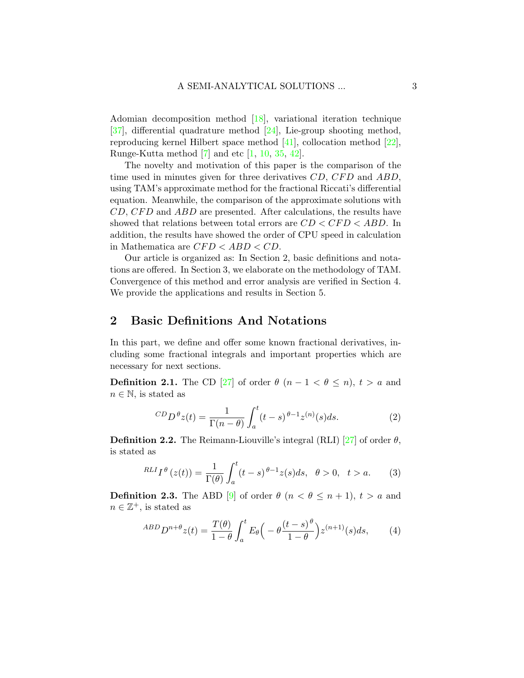Adomian decomposition method [\[18\]](#page-12-3), variational iteration technique [\[37\]](#page-14-4), differential quadrature method [\[24\]](#page-13-6), Lie-group shooting method, reproducing kernel Hilbert space method  $[41]$ , collocation method  $[22]$ , Runge-Kutta method  $[7]$  and etc  $[1, 10, 35, 42]$  $[1, 10, 35, 42]$  $[1, 10, 35, 42]$  $[1, 10, 35, 42]$  $[1, 10, 35, 42]$  $[1, 10, 35, 42]$ .

The novelty and motivation of this paper is the comparison of the time used in minutes given for three derivatives  $CD$ ,  $CFD$  and  $ABD$ , using TAM's approximate method for the fractional Riccati's differential equation. Meanwhile, the comparison of the approximate solutions with  $CD, CFD$  and  $ABD$  are presented. After calculations, the results have showed that relations between total errors are  $CD < CFD < ABD$ . In addition, the results have showed the order of CPU speed in calculation in Mathematica are  $CFD < ABD < CD$ .

Our article is organized as: In Section 2, basic definitions and notations are offered. In Section 3, we elaborate on the methodology of TAM. Convergence of this method and error analysis are verified in Section 4. We provide the applications and results in Section 5.

## 2 Basic Definitions And Notations

In this part, we define and offer some known fractional derivatives, including some fractional integrals and important properties which are necessary for next sections.

**Definition 2.1.** The CD [\[27\]](#page-13-2) of order  $\theta$  ( $n-1 < \theta \leq n$ ),  $t > a$  and  $n \in \mathbb{N}$ , is stated as

$$
^{CD}D^{\theta}z(t) = \frac{1}{\Gamma(n-\theta)} \int_{a}^{t} (t-s)^{\theta-1} z^{(n)}(s) ds.
$$
 (2)

**Definition 2.2.** The Reimann-Liouville's integral (RLI) [\[27\]](#page-13-2) of order  $\theta$ , is stated as

$$
RLI_I^{\theta}(z(t)) = \frac{1}{\Gamma(\theta)} \int_a^t (t-s)^{\theta-1} z(s) ds, \quad \theta > 0, \quad t > a. \tag{3}
$$

**Definition 2.3.** The ABD [\[9\]](#page-11-4) of order  $\theta$  ( $n < \theta \leq n+1$ ),  $t > a$  and  $n \in \mathbb{Z}^+$ , is stated as

$$
^{ABD}D^{n+\theta}z(t) = \frac{T(\theta)}{1-\theta} \int_{a}^{t} E_{\theta}\Big(-\theta \frac{(t-s)^{\theta}}{1-\theta}\Big) z^{(n+1)}(s)ds,\qquad(4)
$$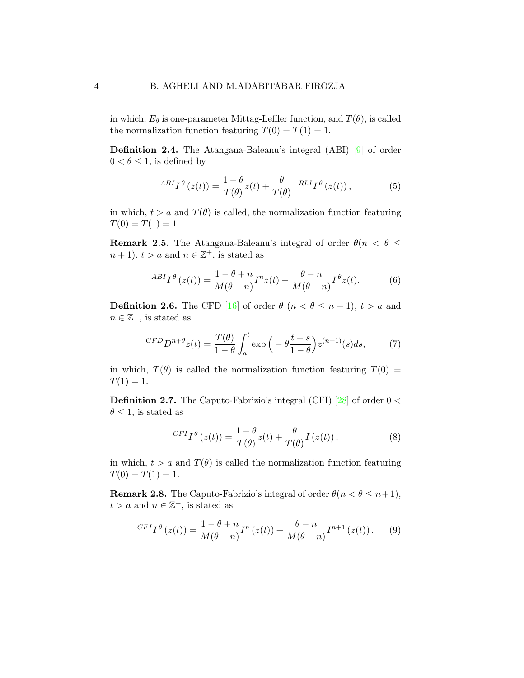in which,  $E_{\theta}$  is one-parameter Mittag-Leffler function, and  $T(\theta)$ , is called the normalization function featuring  $T(0) = T(1) = 1$ .

Definition 2.4. The Atangana-Baleanu's integral (ABI) [\[9\]](#page-11-4) of order  $0 < \theta \leq 1$ , is defined by

$$
^{ABI}I^{\theta}\left(z(t)\right) = \frac{1-\theta}{T(\theta)}z(t) + \frac{\theta}{T(\theta)} \quad ^{RLI}I^{\theta}\left(z(t)\right),\tag{5}
$$

in which,  $t > a$  and  $T(\theta)$  is called, the normalization function featuring  $T(0) = T(1) = 1.$ 

**Remark 2.5.** The Atangana-Baleanu's integral of order  $\theta(n < \theta \leq$  $n+1$ ,  $t > a$  and  $n \in \mathbb{Z}^+$ , is stated as

$$
^{ABI}I^{\theta}\left(z(t)\right) = \frac{1-\theta+n}{M(\theta-n)}I^{n}z(t) + \frac{\theta-n}{M(\theta-n)}I^{\theta}z(t).
$$
 (6)

**Definition 2.6.** The CFD [\[16\]](#page-12-4) of order  $\theta$  ( $n < \theta \leq n+1$ ),  $t > a$  and  $n \in \mathbb{Z}^+$ , is stated as

$$
CFD D^{n+\theta} z(t) = \frac{T(\theta)}{1-\theta} \int_a^t \exp\left(-\theta \frac{t-s}{1-\theta}\right) z^{(n+1)}(s) ds,\tag{7}
$$

in which,  $T(\theta)$  is called the normalization function featuring  $T(0)$  =  $T(1) = 1.$ 

**Definition 2.7.** The Caputo-Fabrizio's integral (CFI) [\[28\]](#page-13-8) of order  $0 <$  $\theta \leq 1$ , is stated as

$$
^{CFI}I^{\theta}\left(z(t)\right) = \frac{1-\theta}{T(\theta)}z(t) + \frac{\theta}{T(\theta)}I\left(z(t)\right),\tag{8}
$$

in which,  $t > a$  and  $T(\theta)$  is called the normalization function featuring  $T(0) = T(1) = 1.$ 

**Remark 2.8.** The Caputo-Fabrizio's integral of order  $\theta(n < \theta \leq n+1)$ ,  $t > a$  and  $n \in \mathbb{Z}^+$ , is stated as

$$
^{CFI}I^{\theta}\left(z(t)\right) = \frac{1-\theta+n}{M(\theta-n)}I^{n}\left(z(t)\right) + \frac{\theta-n}{M(\theta-n)}I^{n+1}\left(z(t)\right). \tag{9}
$$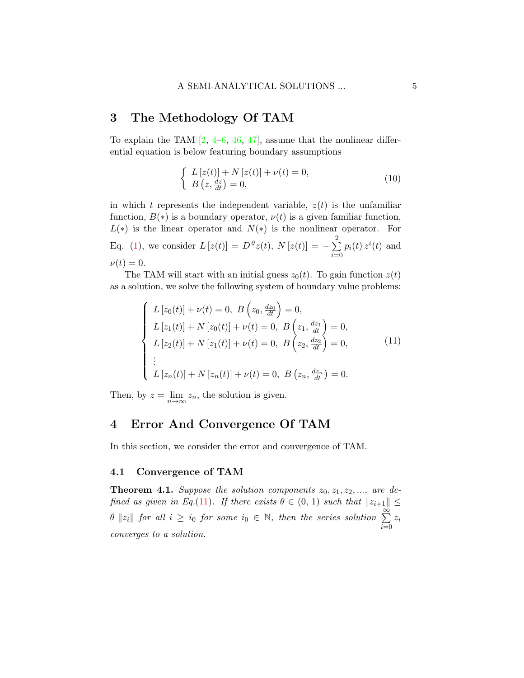## 3 The Methodology Of TAM

To explain the TAM  $[2, 4-6, 46, 47]$  $[2, 4-6, 46, 47]$  $[2, 4-6, 46, 47]$  $[2, 4-6, 46, 47]$  $[2, 4-6, 46, 47]$  $[2, 4-6, 46, 47]$ , assume that the nonlinear differential equation is below featuring boundary assumptions

$$
\begin{cases}\nL\left[z(t)\right] + N\left[z(t)\right] + \nu(t) = 0, \\
B\left(z, \frac{dz}{dt}\right) = 0,\n\end{cases}
$$
\n(10)

in which t represents the independent variable,  $z(t)$  is the unfamiliar function,  $B(*)$  is a boundary operator,  $\nu(t)$  is a given familiar function,  $L(*)$  is the linear operator and  $N(*)$  is the nonlinear operator. For Eq. [\(1\)](#page-1-0), we consider  $L [z(t)] = D^{\theta} z(t), N [z(t)] = -\sum_{i=1}^{3}$  $i=0$  $p_i(t) z^i(t)$  and  $\nu(t) = 0.$ 

The TAM will start with an initial guess  $z_0(t)$ . To gain function  $z(t)$ as a solution, we solve the following system of boundary value problems:

<span id="page-4-0"></span>
$$
\begin{cases}\nL\left[z_0(t)\right] + \nu(t) = 0, \ B\left(z_0, \frac{dz_0}{dt}\right) = 0, \\
L\left[z_1(t)\right] + N\left[z_0(t)\right] + \nu(t) = 0, \ B\left(z_1, \frac{dz_1}{dt}\right) = 0, \\
L\left[z_2(t)\right] + N\left[z_1(t)\right] + \nu(t) = 0, \ B\left(z_2, \frac{dz_2}{dt}\right) = 0, \\
\vdots \\
L\left[z_n(t)\right] + N\left[z_n(t)\right] + \nu(t) = 0, \ B\left(z_n, \frac{dz_n}{dt}\right) = 0.\n\end{cases} \tag{11}
$$

Then, by  $z = \lim_{n \to \infty} z_n$ , the solution is given.

# 4 Error And Convergence Of TAM

In this section, we consider the error and convergence of TAM.

#### 4.1 Convergence of TAM

**Theorem 4.1.** Suppose the solution components  $z_0, z_1, z_2, \ldots$ , are de-fined as given in Eq.[\(11\)](#page-4-0). If there exists  $\theta \in (0, 1)$  such that  $||z_{i+1}|| \leq$  $\theta \|z_i\|$  for all  $i \geq i_0$  for some  $i_0 \in \mathbb{N}$ , then the series solution  $\sum_{i=1}^{\infty}$  $i=0$ zi converges to a solution.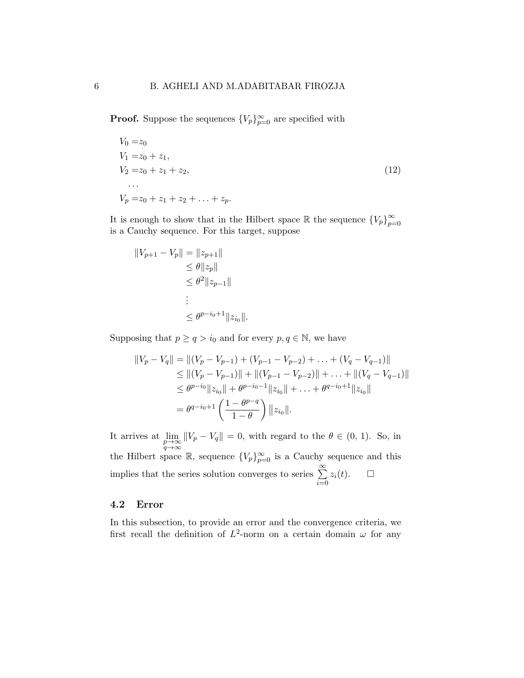**Proof.** Suppose the sequences  ${V_p}_{p=0}^{\infty}$  are specified with

$$
V_0 = z_0
$$
  
\n
$$
V_1 = z_0 + z_1,
$$
  
\n
$$
V_2 = z_0 + z_1 + z_2,
$$
  
\n...  
\n
$$
V_p = z_0 + z_1 + z_2 + \ldots + z_p.
$$
\n(12)

It is enough to show that in the Hilbert space R the sequence  ${V_p}_{p=0}^{\infty}$  $p=0$ is a Cauchy sequence. For this target, suppose

$$
||V_{p+1} - V_p|| = ||z_{p+1}||
$$
  
\n
$$
\leq \theta ||z_p||
$$
  
\n
$$
\leq \theta^2 ||z_{p-1}||
$$
  
\n
$$
\vdots
$$
  
\n
$$
\leq \theta^{p-i_0+1} ||z_{i_0}||.
$$

Supposing that  $p \ge q > i_0$  and for every  $p, q \in \mathbb{N}$ , we have

$$
||V_p - V_q|| = ||(V_p - V_{p-1}) + (V_{p-1} - V_{p-2}) + \dots + (V_q - V_{q-1})||
$$
  
\n
$$
\leq ||(V_p - V_{p-1})|| + ||(V_{p-1} - V_{p-2})|| + \dots + ||(V_q - V_{q-1})||
$$
  
\n
$$
\leq \theta^{p-i_0} ||z_{i_0}|| + \theta^{p-i_0-1} ||z_{i_0}|| + \dots + \theta^{q-i_0+1} ||z_{i_0}||
$$
  
\n
$$
= \theta^{q-i_0+1} \left( \frac{1 - \theta^{p-q}}{1 - \theta} \right) ||z_{i_0}||.
$$

It arrives at  $\lim_{\substack{p\to\infty\\q\to\infty}}$  $||V_p - V_q|| = 0$ , with regard to the  $\theta \in (0, 1)$ . So, in the Hilbert space R, sequence  ${V_p}_{p=0}^{\infty}$  is a Cauchy sequence and this implies that the series solution converges to series  $\sum_{n=1}^{\infty}$  $i=0$  $z_i(t)$ .  $\Box$ 

### 4.2 Error

In this subsection, to provide an error and the convergence criteria, we first recall the definition of  $L^2$ -norm on a certain domain  $\omega$  for any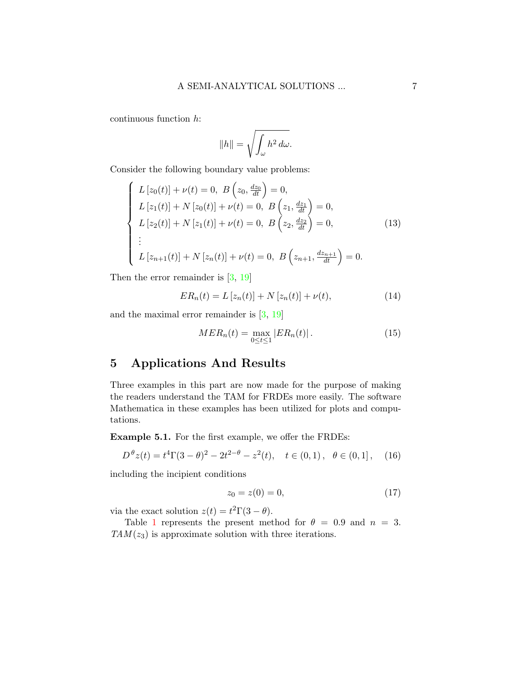continuous function h:

$$
||h|| = \sqrt{\int_{\omega} h^2 \, d\omega}.
$$

Consider the following boundary value problems:

$$
\begin{cases}\nL\left[z_0(t)\right] + \nu(t) = 0, & B\left(z_0, \frac{dz_0}{dt}\right) = 0, \\
L\left[z_1(t)\right] + N\left[z_0(t)\right] + \nu(t) = 0, & B\left(z_1, \frac{dz_1}{dt}\right) = 0, \\
L\left[z_2(t)\right] + N\left[z_1(t)\right] + \nu(t) = 0, & B\left(z_2, \frac{dz_2}{dt}\right) = 0, \\
\vdots \\
L\left[z_{n+1}(t)\right] + N\left[z_n(t)\right] + \nu(t) = 0, & B\left(z_{n+1}, \frac{dz_{n+1}}{dt}\right) = 0.\n\end{cases}
$$
\n(13)

Then the error remainder is  $[3, 19]$  $[3, 19]$ 

$$
ER_n(t) = L [z_n(t)] + N [z_n(t)] + \nu(t),
$$
\n(14)

and the maximal error remainder is  $[3, 19]$  $[3, 19]$ 

$$
MER_n(t) = \max_{0 \le t \le 1} |ER_n(t)|.
$$
 (15)

# 5 Applications And Results

Three examples in this part are now made for the purpose of making the readers understand the TAM for FRDEs more easily. The software Mathematica in these examples has been utilized for plots and computations.

<span id="page-6-0"></span>Example 5.1. For the first example, we offer the FRDEs:

$$
D^{\theta}z(t) = t^4\Gamma(3-\theta)^2 - 2t^{2-\theta} - z^2(t), \quad t \in (0,1), \quad \theta \in (0,1], \quad (16)
$$

including the incipient conditions

$$
z_0 = z(0) = 0,\t\t(17)
$$

via the exact solution  $z(t) = t^2 \Gamma(3 - \theta)$ .

Table [1](#page-7-0) represents the present method for  $\theta = 0.9$  and  $n = 3$ .  $TAM(z_3)$  is approximate solution with three iterations.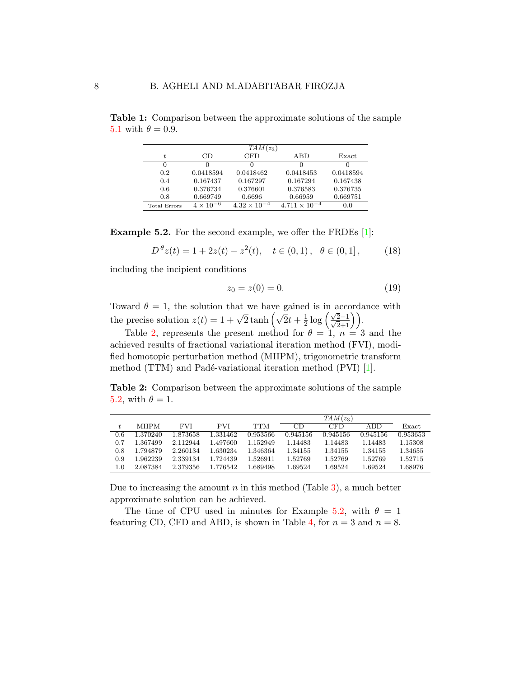|              | $TAM(z_3)$         |                       |                        |           |  |  |
|--------------|--------------------|-----------------------|------------------------|-----------|--|--|
|              | חר                 | CFD                   | ABD                    | Exact     |  |  |
| 0            |                    |                       | $\mathbf{I}$           |           |  |  |
| 0.2          | 0.0418594          | 0.0418462             | 0.0418453              | 0.0418594 |  |  |
| 0.4          | 0.167437           | 0.167297              | 0.167294               | 0.167438  |  |  |
| 0.6          | 0.376734           | 0.376601              | 0.376583               | 0.376735  |  |  |
| 0.8          | 0.669749           | 0.6696                | 0.66959                | 0.669751  |  |  |
| Total Errors | $4 \times 10^{-6}$ | $4.32 \times 10^{-4}$ | $4.711 \times 10^{-4}$ | 0.0       |  |  |

<span id="page-7-0"></span>Table 1: Comparison between the approximate solutions of the sample [5.1](#page-6-0) with  $\theta = 0.9$ .

<span id="page-7-2"></span>**Example 5.2.** For the second example, we offer the FRDEs [\[1\]](#page-10-0):

$$
D^{\theta}z(t) = 1 + 2z(t) - z^2(t), \quad t \in (0, 1), \quad \theta \in (0, 1], \tag{18}
$$

including the incipient conditions

$$
z_0 = z(0) = 0.\t(19)
$$

Toward  $\theta = 1$ , the solution that we have gained is in accordance with the precise solution  $z(t) = 1 + \sqrt{2} \tanh \left( \sqrt{2}t + \frac{1}{2} \right)$  $\frac{1}{2} \log \left( \frac{\sqrt{2}-1}{\sqrt{2}+1} \right)$ .

Table [2,](#page-7-1) represents the present method for  $\theta = 1, n = 3$  and the achieved results of fractional variational iteration method (FVI), modified homotopic perturbation method (MHPM), trigonometric transform method (TTM) and Padé-variational iteration method (PVI)  $[1]$ .

<span id="page-7-1"></span>Table 2: Comparison between the approximate solutions of the sample [5.2,](#page-7-2) with  $\theta = 1$ .

|     |             |          |            |          | $TAM(z_3)$ |          |          |          |
|-----|-------------|----------|------------|----------|------------|----------|----------|----------|
|     | <b>MHPM</b> | FVI      | <b>PVI</b> | TTM      | CD         | CFD.     | ABD      | Exact    |
| 0.6 | 1.370240    | 1.873658 | 1.331462   | 0.953566 | 0.945156   | 0.945156 | 0.945156 | 0.953653 |
| 0.7 | 1.367499    | 2.112944 | 1.497600   | 1.152949 | 1.14483    | 1.14483  | 1.14483  | 1.15308  |
| 0.8 | 1.794879    | 2.260134 | 1.630234   | 1.346364 | 1.34155    | 1.34155  | 1.34155  | 1.34655  |
| 0.9 | 1.962239    | 2.339134 | 1.724439   | 1.526911 | 1.52769    | 1.52769  | 1.52769  | 1.52715  |
| 1.0 | 2.087384    | 2.379356 | 1.776542   | 1.689498 | 1.69524    | 1.69524  | 1.69524  | 1.68976  |

Due to increasing the amount  $n$  in this method (Table [3\)](#page-8-0), a much better approximate solution can be achieved.

The time of CPU used in minutes for Example [5.2,](#page-7-2) with  $\theta = 1$ featuring CD, CFD and ABD, is shown in Table [4,](#page-8-1) for  $n = 3$  and  $n = 8$ .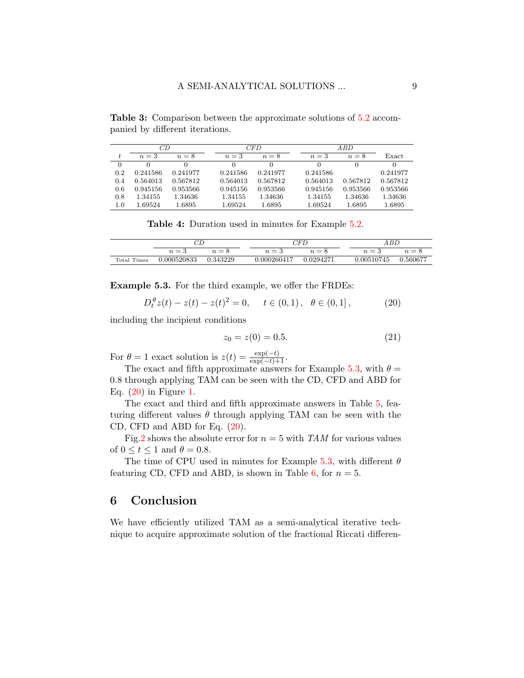<span id="page-8-0"></span>Table 3: Comparison between the approximate solutions of [5.2](#page-7-2) accompanied by different iterations.

|          | СĐ       |          | CFD <sup>-</sup> |          |  | A B D    |          |          |
|----------|----------|----------|------------------|----------|--|----------|----------|----------|
| t.       | $n=3$    | $n=8$    | $n=3$            | $n=8$    |  | $n=3$    | $n=8$    | Exact    |
| $\Omega$ | $\theta$ |          | 0                |          |  |          |          | 0        |
| 0.2      | 0.241586 | 0.241977 | 0.241586         | 0.241977 |  | 0.241586 |          | 0.241977 |
| 0.4      | 0.564013 | 0.567812 | 0.564013         | 0.567812 |  | 0.564013 | 0.567812 | 0.567812 |
| 0.6      | 0.945156 | 0.953566 | 0.945156         | 0.953566 |  | 0.945156 | 0.953566 | 0.953566 |
| 0.8      | 1.34155  | 1.34636  | 1.34155          | 1.34636  |  | 1.34155  | 1.34636  | 1.34636  |
| $1.0\,$  | 1.69524  | 1.6895   | 1.69524          | 1.6895   |  | 1.69524  | 1.6895   | 1.6895   |

Table 4: Duration used in minutes for Example [5.2.](#page-7-2)

<span id="page-8-1"></span>

|                    |             |          | $\gamma_{FT}$ |             |         |  |            |          |
|--------------------|-------------|----------|---------------|-------------|---------|--|------------|----------|
|                    | $n = 3$     | $n = 8$  |               | $n=3$       | $n = 8$ |  | — പ        | $n = 8$  |
| <b>Total Times</b> | 0.000520833 | 0.343229 |               | 0.000260417 | 0294271 |  | 0.00510745 | 0.560677 |

<span id="page-8-2"></span>Example 5.3. For the third example, we offer the FRDEs:

<span id="page-8-3"></span>
$$
D_t^{\theta} z(t) - z(t) - z(t)^2 = 0, \quad t \in (0, 1), \quad \theta \in (0, 1], \tag{20}
$$

including the incipient conditions

$$
z_0 = z(0) = 0.5. \tag{21}
$$

For  $\theta = 1$  exact solution is  $z(t) = \frac{\exp(-t)}{\exp(-t) + 1}$ .

The exact and fifth approximate answers for Example [5.3,](#page-8-2) with  $\theta =$ 0.8 through applying TAM can be seen with the CD, CFD and ABD for Eq. [\(20\)](#page-8-3) in Figure [1.](#page-9-0)

The exact and third and fifth approximate answers in Table [5,](#page-9-1) featuring different values  $\theta$  through applying TAM can be seen with the CD, CFD and ABD for Eq. [\(20\)](#page-8-3).

Fig[.2](#page-10-2) shows the absolute error for  $n = 5$  with TAM for various values of  $0 \le t \le 1$  and  $\theta = 0.8$ .

The time of CPU used in minutes for Example [5.3,](#page-8-2) with different  $\theta$ featuring CD, CFD and ABD, is shown in Table [6,](#page-9-2) for  $n = 5$ .

# 6 Conclusion

We have efficiently utilized TAM as a semi-analytical iterative technique to acquire approximate solution of the fractional Riccati differen-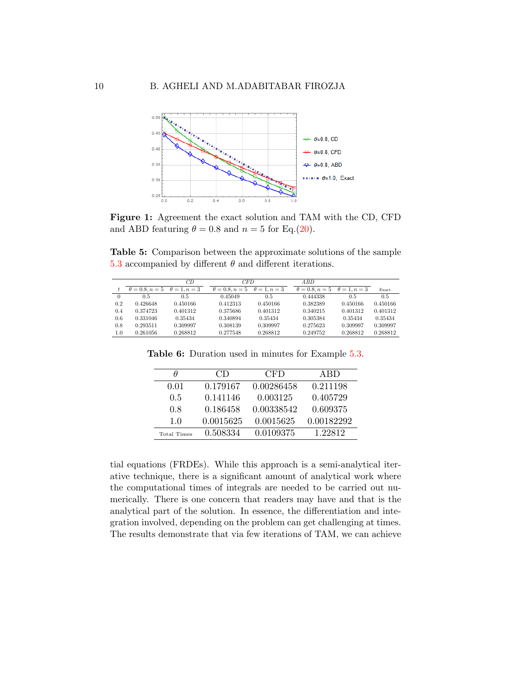<span id="page-9-0"></span>

Figure 1: Agreement the exact solution and TAM with the CD, CFD and ABD featuring  $\theta = 0.8$  and  $n = 5$  for Eq.[\(20\)](#page-8-3).

<span id="page-9-1"></span>Table 5: Comparison between the approximate solutions of the sample [5.3](#page-8-2) accompanied by different  $\theta$  and different iterations.

|     |                       | СĐ                  | <b>CFD</b>            |                     | A BD                  |                        |          |
|-----|-----------------------|---------------------|-----------------------|---------------------|-----------------------|------------------------|----------|
|     | $\theta = 0.8, n = 5$ | $\theta = 1, n = 3$ | $\theta = 0.8, n = 5$ | $\theta = 1, n = 3$ | $\theta = 0.8, n = 5$ | $\theta = 1$ , $n = 3$ | Exact    |
| 0   | 0.5                   | 0.5                 | 0.45049               | 0.5                 | 0.444338              | 0.5                    | 0.5      |
| 0.2 | 0.426648              | 0.450166            | 0.412313              | 0.450166            | 0.382389              | 0.450166               | 0.450166 |
| 0.4 | 0.374723              | 0.401312            | 0.375686              | 0.401312            | 0.340215              | 0.401312               | 0.401312 |
| 0.6 | 0.331046              | 0.35434             | 0.340894              | 0.35434             | 0.305384              | 0.35434                | 0.35434  |
| 0.8 | 0.293511              | 0.309997            | 0.308139              | 0.309997            | 0.275623              | 0.309997               | 0.309997 |
| 1.0 | 0.261056              | 0.268812            | 0.277548              | 0.268812            | 0.249752              | 0.268812               | 0.268812 |

<span id="page-9-2"></span>Table 6: Duration used in minutes for Example [5.3.](#page-8-2)

| H           | CD        | CFD        | ABD        |
|-------------|-----------|------------|------------|
| 0.01        | 0.179167  | 0.00286458 | 0.211198   |
| 0.5         | 0.141146  | 0.003125   | 0.405729   |
| 0.8         | 0.186458  | 0.00338542 | 0.609375   |
| 1.0         | 0.0015625 | 0.0015625  | 0.00182292 |
| Total Times | 0.508334  | 0.0109375  | 1.22812    |

tial equations (FRDEs). While this approach is a semi-analytical iterative technique, there is a significant amount of analytical work where the computational times of integrals are needed to be carried out numerically. There is one concern that readers may have and that is the analytical part of the solution. In essence, the differentiation and integration involved, depending on the problem can get challenging at times. The results demonstrate that via few iterations of TAM, we can achieve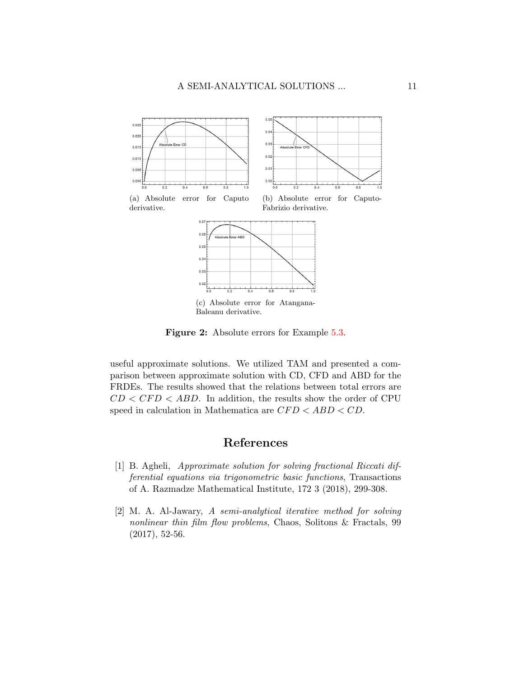<span id="page-10-2"></span>

Figure 2: Absolute errors for Example [5.3.](#page-8-2)

useful approximate solutions. We utilized TAM and presented a comparison between approximate solution with CD, CFD and ABD for the FRDEs. The results showed that the relations between total errors are  $CD < CFD < ABD$ . In addition, the results show the order of CPU speed in calculation in Mathematica are  $CFD < ABD < CD$ .

# References

- <span id="page-10-0"></span>[1] B. Agheli, Approximate solution for solving fractional Riccati differential equations via trigonometric basic functions, Transactions of A. Razmadze Mathematical Institute, 172 3 (2018), 299-308.
- <span id="page-10-1"></span>[2] M. A. Al-Jawary, A semi-analytical iterative method for solving nonlinear thin film flow problems, Chaos, Solitons & Fractals, 99 (2017), 52-56.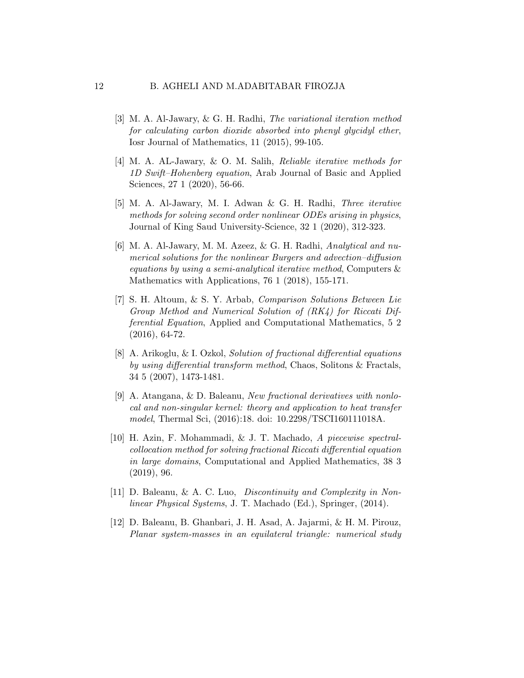- <span id="page-11-7"></span>[3] M. A. Al-Jawary, & G. H. Radhi, The variational iteration method for calculating carbon dioxide absorbed into phenyl glycidyl ether, Iosr Journal of Mathematics, 11 (2015), 99-105.
- <span id="page-11-5"></span>[4] M. A. AL-Jawary, & O. M. Salih, Reliable iterative methods for 1D Swift–Hohenberg equation, Arab Journal of Basic and Applied Sciences, 27 1 (2020), 56-66.
- [5] M. A. Al-Jawary, M. I. Adwan & G. H. Radhi, Three iterative methods for solving second order nonlinear ODEs arising in physics, Journal of King Saud University-Science, 32 1 (2020), 312-323.
- <span id="page-11-6"></span>[6] M. A. Al-Jawary, M. M. Azeez, & G. H. Radhi, Analytical and numerical solutions for the nonlinear Burgers and advection–diffusion equations by using a semi-analytical iterative method, Computers & Mathematics with Applications, 76 1 (2018), 155-171.
- <span id="page-11-2"></span>[7] S. H. Altoum, & S. Y. Arbab, Comparison Solutions Between Lie Group Method and Numerical Solution of (RK4) for Riccati Differential Equation, Applied and Computational Mathematics, 5 2 (2016), 64-72.
- <span id="page-11-1"></span>[8] A. Arikoglu, & I. Ozkol, Solution of fractional differential equations by using differential transform method, Chaos, Solitons & Fractals, 34 5 (2007), 1473-1481.
- <span id="page-11-4"></span>[9] A. Atangana, & D. Baleanu, New fractional derivatives with nonlocal and non-singular kernel: theory and application to heat transfer model, Thermal Sci, (2016):18. doi: 10.2298/TSCI160111018A.
- <span id="page-11-3"></span>[10] H. Azin, F. Mohammadi, & J. T. Machado, A piecewise spectralcollocation method for solving fractional Riccati differential equation in large domains, Computational and Applied Mathematics, 38 3 (2019), 96.
- <span id="page-11-0"></span>[11] D. Baleanu, & A. C. Luo, Discontinuity and Complexity in Nonlinear Physical Systems, J. T. Machado (Ed.), Springer, (2014).
- [12] D. Baleanu, B. Ghanbari, J. H. Asad, A. Jajarmi, & H. M. Pirouz, Planar system-masses in an equilateral triangle: numerical study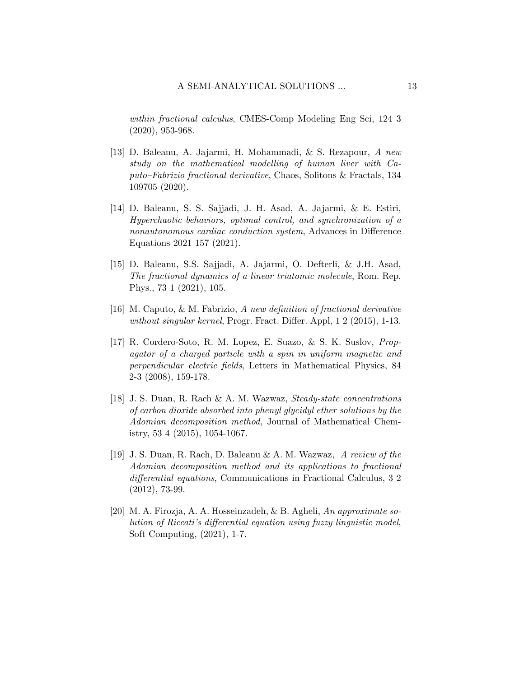within fractional calculus, CMES-Comp Modeling Eng Sci, 124 3 (2020), 953-968.

- [13] D. Baleanu, A. Jajarmi, H. Mohammadi, & S. Rezapour, A new study on the mathematical modelling of human liver with Caputo–Fabrizio fractional derivative, Chaos, Solitons & Fractals, 134 109705 (2020).
- [14] D. Baleanu, S. S. Sajjadi, J. H. Asad, A. Jajarmi, & E. Estiri, Hyperchaotic behaviors, optimal control, and synchronization of a nonautonomous cardiac conduction system, Advances in Difference Equations 2021 157 (2021).
- <span id="page-12-2"></span>[15] D. Baleanu, S.S. Sajjadi, A. Jajarmi, O. Defterli, & J.H. Asad, The fractional dynamics of a linear triatomic molecule, Rom. Rep. Phys., 73 1 (2021), 105.
- <span id="page-12-4"></span>[16] M. Caputo, & M. Fabrizio, A new definition of fractional derivative without singular kernel, Progr. Fract. Differ. Appl, 1 2 (2015), 1-13.
- <span id="page-12-0"></span>[17] R. Cordero-Soto, R. M. Lopez, E. Suazo, & S. K. Suslov, Propagator of a charged particle with a spin in uniform magnetic and perpendicular electric fields, Letters in Mathematical Physics, 84 2-3 (2008), 159-178.
- <span id="page-12-3"></span>[18] J. S. Duan, R. Rach & A. M. Wazwaz, Steady-state concentrations of carbon dioxide absorbed into phenyl glycidyl ether solutions by the Adomian decomposition method, Journal of Mathematical Chemistry, 53 4 (2015), 1054-1067.
- <span id="page-12-5"></span>[19] J. S. Duan, R. Rach, D. Baleanu & A. M. Wazwaz, A review of the Adomian decomposition method and its applications to fractional differential equations, Communications in Fractional Calculus, 3 2 (2012), 73-99.
- <span id="page-12-1"></span>[20] M. A. Firozja, A. A. Hosseinzadeh, & B. Agheli, An approximate solution of Riccati's differential equation using fuzzy linguistic model, Soft Computing, (2021), 1-7.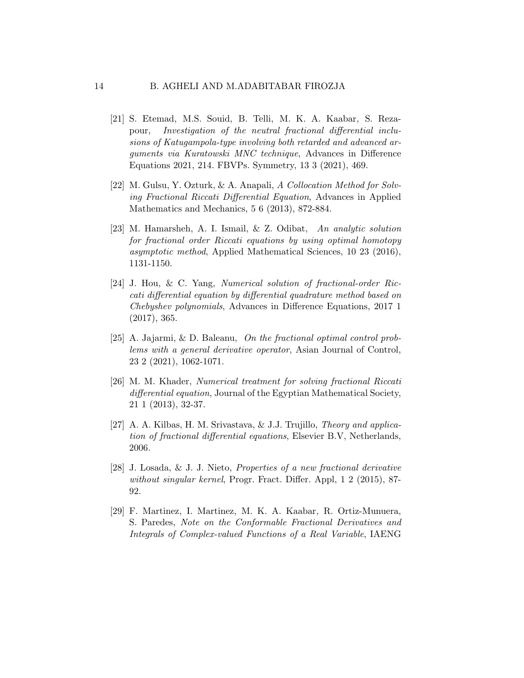### 14 B. AGHELI AND M.ADABITABAR FIROZJA

- <span id="page-13-0"></span>[21] S. Etemad, M.S. Souid, B. Telli, M. K. A. Kaabar, S. Rezapour, Investigation of the neutral fractional differential inclusions of Katugampola-type involving both retarded and advanced arguments via Kuratowski MNC technique, Advances in Difference Equations 2021, 214. FBVPs. Symmetry, 13 3 (2021), 469.
- <span id="page-13-7"></span>[22] M. Gulsu, Y. Ozturk, & A. Anapali, A Collocation Method for Solving Fractional Riccati Differential Equation, Advances in Applied Mathematics and Mechanics, 5 6 (2013), 872-884.
- <span id="page-13-5"></span>[23] M. Hamarsheh, A. I. Ismail, & Z. Odibat, An analytic solution for fractional order Riccati equations by using optimal homotopy asymptotic method, Applied Mathematical Sciences, 10 23 (2016), 1131-1150.
- <span id="page-13-6"></span>[24] J. Hou, & C. Yang, Numerical solution of fractional-order Riccati differential equation by differential quadrature method based on Chebyshev polynomials, Advances in Difference Equations, 2017 1 (2017), 365.
- <span id="page-13-1"></span>[25] A. Jajarmi, & D. Baleanu, On the fractional optimal control problems with a general derivative operator, Asian Journal of Control, 23 2 (2021), 1062-1071.
- <span id="page-13-4"></span>[26] M. M. Khader, Numerical treatment for solving fractional Riccati differential equation, Journal of the Egyptian Mathematical Society, 21 1 (2013), 32-37.
- <span id="page-13-2"></span>[27] A. A. Kilbas, H. M. Srivastava, & J.J. Trujillo, Theory and application of fractional differential equations, Elsevier B.V, Netherlands, 2006.
- <span id="page-13-8"></span>[28] J. Losada, & J. J. Nieto, Properties of a new fractional derivative without singular kernel, Progr. Fract. Differ. Appl, 1 2 (2015), 87- 92.
- <span id="page-13-3"></span>[29] F. Martinez, I. Martinez, M. K. A. Kaabar, R. Ortiz-Munuera, S. Paredes, Note on the Conformable Fractional Derivatives and Integrals of Complex-valued Functions of a Real Variable, IAENG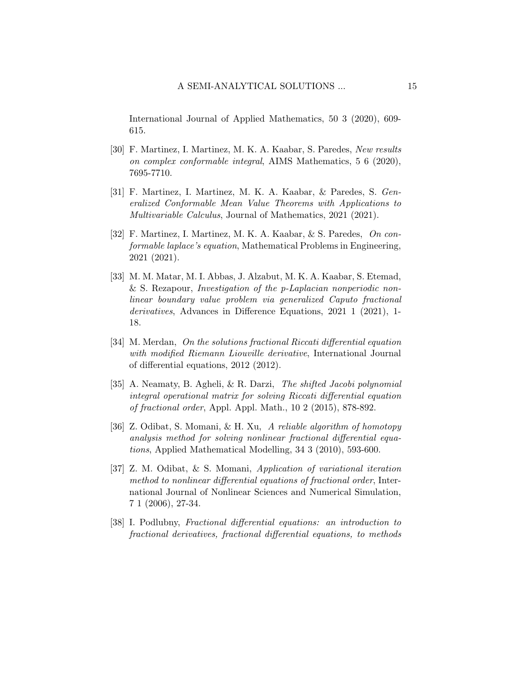International Journal of Applied Mathematics, 50 3 (2020), 609- 615.

- [30] F. Martinez, I. Martinez, M. K. A. Kaabar, S. Paredes, New results on complex conformable integral, AIMS Mathematics, 5 6 (2020), 7695-7710.
- [31] F. Martinez, I. Martinez, M. K. A. Kaabar, & Paredes, S. Generalized Conformable Mean Value Theorems with Applications to Multivariable Calculus, Journal of Mathematics, 2021 (2021).
- [32] F. Martinez, I. Martinez, M. K. A. Kaabar, & S. Paredes, On conformable laplace's equation, Mathematical Problems in Engineering, 2021 (2021).
- <span id="page-14-1"></span>[33] M. M. Matar, M. I. Abbas, J. Alzabut, M. K. A. Kaabar, S. Etemad, & S. Rezapour, Investigation of the p-Laplacian nonperiodic nonlinear boundary value problem via generalized Caputo fractional derivatives, Advances in Difference Equations, 2021 1 (2021), 1- 18.
- <span id="page-14-0"></span>[34] M. Merdan, On the solutions fractional Riccati differential equation with modified Riemann Liouville derivative, International Journal of differential equations, 2012 (2012).
- <span id="page-14-5"></span>[35] A. Neamaty, B. Agheli, & R. Darzi, The shifted Jacobi polynomial integral operational matrix for solving Riccati differential equation of fractional order, Appl. Appl. Math., 10 2 (2015), 878-892.
- <span id="page-14-3"></span>[36] Z. Odibat, S. Momani, & H. Xu, A reliable algorithm of homotopy analysis method for solving nonlinear fractional differential equations, Applied Mathematical Modelling, 34 3 (2010), 593-600.
- <span id="page-14-4"></span>[37] Z. M. Odibat, & S. Momani, Application of variational iteration method to nonlinear differential equations of fractional order, International Journal of Nonlinear Sciences and Numerical Simulation, 7 1 (2006), 27-34.
- <span id="page-14-2"></span>[38] I. Podlubny, Fractional differential equations: an introduction to fractional derivatives, fractional differential equations, to methods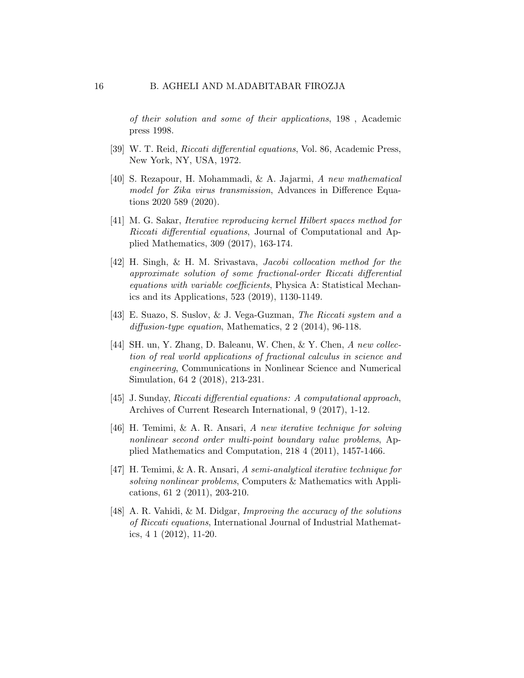of their solution and some of their applications, 198 , Academic press 1998.

- <span id="page-15-0"></span>[39] W. T. Reid, Riccati differential equations, Vol. 86, Academic Press, New York, NY, USA, 1972.
- <span id="page-15-5"></span>[40] S. Rezapour, H. Mohammadi, & A. Jajarmi, A new mathematical model for Zika virus transmission, Advances in Difference Equations 2020 589 (2020).
- <span id="page-15-6"></span>[41] M. G. Sakar, Iterative reproducing kernel Hilbert spaces method for Riccati differential equations, Journal of Computational and Applied Mathematics, 309 (2017), 163-174.
- <span id="page-15-7"></span>[42] H. Singh, & H. M. Srivastava, Jacobi collocation method for the approximate solution of some fractional-order Riccati differential equations with variable coefficients, Physica A: Statistical Mechanics and its Applications, 523 (2019), 1130-1149.
- <span id="page-15-3"></span>[43] E. Suazo, S. Suslov, & J. Vega-Guzman, The Riccati system and a diffusion-type equation, Mathematics, 2 2 (2014), 96-118.
- <span id="page-15-4"></span>[44] SH. un, Y. Zhang, D. Baleanu, W. Chen, & Y. Chen, A new collection of real world applications of fractional calculus in science and engineering, Communications in Nonlinear Science and Numerical Simulation, 64 2 (2018), 213-231.
- <span id="page-15-1"></span>[45] J. Sunday, Riccati differential equations: A computational approach, Archives of Current Research International, 9 (2017), 1-12.
- <span id="page-15-8"></span>[46] H. Temimi, & A. R. Ansari, A new iterative technique for solving nonlinear second order multi-point boundary value problems, Applied Mathematics and Computation, 218 4 (2011), 1457-1466.
- <span id="page-15-9"></span>[47] H. Temimi, & A. R. Ansari, A semi-analytical iterative technique for solving nonlinear problems, Computers & Mathematics with Applications, 61 2 (2011), 203-210.
- <span id="page-15-2"></span>[48] A. R. Vahidi, & M. Didgar, Improving the accuracy of the solutions of Riccati equations, International Journal of Industrial Mathematics, 4 1 (2012), 11-20.